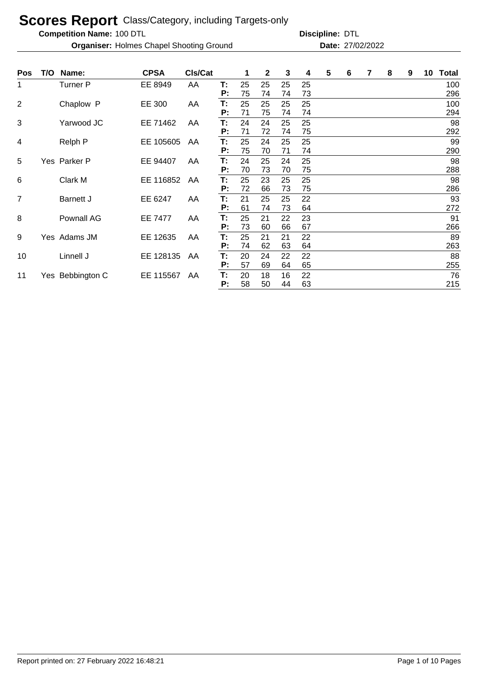**Competition Name:**

**Organiser:** Holmes Chapel Shooting Ground **27/02/2022 Date:** 27/02/2022

| <b>Pos</b>     | T/O | Name:            | <b>CPSA</b> | CIs/Cat |          | 1        | $\mathbf{2}$ | 3        | 4        | 5 | 6 | 7 | 8 | 9 | 10 | <b>Total</b> |
|----------------|-----|------------------|-------------|---------|----------|----------|--------------|----------|----------|---|---|---|---|---|----|--------------|
| 1              |     | Turner P         | EE 8949     | AA      | T:<br>P: | 25<br>75 | 25<br>74     | 25<br>74 | 25<br>73 |   |   |   |   |   |    | 100<br>296   |
| $\overline{2}$ |     | Chaplow P        | EE 300      | AA      | Т:<br>P: | 25<br>71 | 25<br>75     | 25<br>74 | 25<br>74 |   |   |   |   |   |    | 100<br>294   |
| 3              |     | Yarwood JC       | EE 71462    | AA      | T:<br>P: | 24<br>71 | 24<br>72     | 25<br>74 | 25<br>75 |   |   |   |   |   |    | 98<br>292    |
| 4              |     | Relph P          | EE 105605   | AA      | T:<br>P: | 25<br>75 | 24<br>70     | 25<br>71 | 25<br>74 |   |   |   |   |   |    | 99<br>290    |
| 5              |     | Yes Parker P     | EE 94407    | AA      | T:<br>Р: | 24<br>70 | 25<br>73     | 24<br>70 | 25<br>75 |   |   |   |   |   |    | 98<br>288    |
| 6              |     | Clark M          | EE 116852   | AA      | T:<br>P: | 25<br>72 | 23<br>66     | 25<br>73 | 25<br>75 |   |   |   |   |   |    | 98<br>286    |
| 7              |     | <b>Barnett J</b> | EE 6247     | AA      | T:<br>P: | 21<br>61 | 25<br>74     | 25<br>73 | 22<br>64 |   |   |   |   |   |    | 93<br>272    |
| 8              |     | Pownall AG       | EE 7477     | AA      | T:<br>P: | 25<br>73 | 21<br>60     | 22<br>66 | 23<br>67 |   |   |   |   |   |    | 91<br>266    |
| 9              |     | Yes Adams JM     | EE 12635    | AA      | T:<br>P: | 25<br>74 | 21<br>62     | 21<br>63 | 22<br>64 |   |   |   |   |   |    | 89<br>263    |
| 10             |     | Linnell J        | EE 128135   | AA      | T:<br>P: | 20<br>57 | 24<br>69     | 22<br>64 | 22<br>65 |   |   |   |   |   |    | 88<br>255    |
| 11             |     | Yes Bebbington C | EE 115567   | AA      | T:<br>Р: | 20<br>58 | 18<br>50     | 16<br>44 | 22<br>63 |   |   |   |   |   |    | 76<br>215    |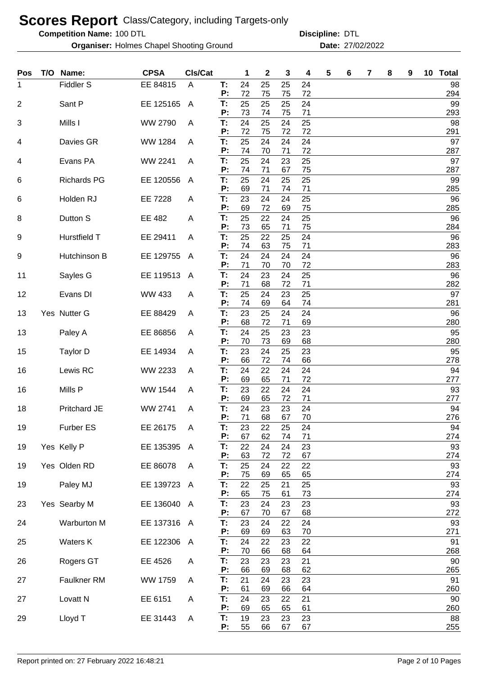**Competition Name:**

**Organiser:** Holmes Chapel Shooting Ground **27/02/2022 Date:** 27/02/2022

| Pos | T/O | Name:               | <b>CPSA</b>    | Cls/Cat      |          | 1        | $\mathbf 2$ | 3        | 4        | 5 | 6 | 7 | 8 | 9 | 10 | <b>Total</b> |
|-----|-----|---------------------|----------------|--------------|----------|----------|-------------|----------|----------|---|---|---|---|---|----|--------------|
| 1   |     | <b>Fiddler S</b>    | EE 84815       | A            | T:<br>P: | 24<br>72 | 25<br>75    | 25<br>75 | 24<br>72 |   |   |   |   |   |    | 98<br>294    |
| 2   |     | Sant P              | EE 125165      | $\mathsf{A}$ | T:<br>P: | 25<br>73 | 25<br>74    | 25<br>75 | 24<br>71 |   |   |   |   |   |    | 99<br>293    |
| 3   |     | Mills I             | <b>WW 2790</b> | A            | T:<br>P: | 24<br>72 | 25<br>75    | 24<br>72 | 25<br>72 |   |   |   |   |   |    | 98<br>291    |
| 4   |     | Davies GR           | <b>WW 1284</b> | A            | T:<br>P: | 25<br>74 | 24<br>70    | 24<br>71 | 24<br>72 |   |   |   |   |   |    | 97<br>287    |
| 4   |     | Evans PA            | WW 2241        | A            | T:<br>P: | 25<br>74 | 24<br>71    | 23<br>67 | 25<br>75 |   |   |   |   |   |    | 97<br>287    |
| 6   |     | <b>Richards PG</b>  | EE 120556      | A            | T:<br>P: | 25<br>69 | 24<br>71    | 25<br>74 | 25<br>71 |   |   |   |   |   |    | 99<br>285    |
| 6   |     | Holden RJ           | EE 7228        | A            | T:<br>P: | 23<br>69 | 24<br>72    | 24<br>69 | 25<br>75 |   |   |   |   |   |    | 96<br>285    |
| 8   |     | Dutton S            | EE 482         | A            | T:<br>P: | 25<br>73 | 22<br>65    | 24<br>71 | 25<br>75 |   |   |   |   |   |    | 96           |
| 9   |     | Hurstfield T        | EE 29411       | A            | T:       | 25       | 22          | 25       | 24       |   |   |   |   |   |    | 284<br>96    |
| 9   |     | Hutchinson B        | EE 129755      | A            | P:<br>T: | 74<br>24 | 63<br>24    | 75<br>24 | 71<br>24 |   |   |   |   |   |    | 283<br>96    |
| 11  |     | Sayles G            | EE 119513      | A            | P:<br>T: | 71<br>24 | 70<br>23    | 70<br>24 | 72<br>25 |   |   |   |   |   |    | 283<br>96    |
| 12  |     | Evans DI            | <b>WW 433</b>  | A            | P:<br>T: | 71<br>25 | 68<br>24    | 72<br>23 | 71<br>25 |   |   |   |   |   |    | 282<br>97    |
| 13  |     | Yes Nutter G        | EE 88429       | A            | P:<br>T: | 74<br>23 | 69<br>25    | 64<br>24 | 74<br>24 |   |   |   |   |   |    | 281<br>96    |
| 13  |     | Paley A             | EE 86856       | A            | P:<br>T: | 68<br>24 | 72<br>25    | 71<br>23 | 69<br>23 |   |   |   |   |   |    | 280<br>95    |
| 15  |     | Taylor D            | EE 14934       | A            | P:<br>T: | 70<br>23 | 73<br>24    | 69<br>25 | 68<br>23 |   |   |   |   |   |    | 280<br>95    |
| 16  |     | Lewis RC            | WW 2233        | A            | P:<br>T: | 66<br>24 | 72<br>22    | 74<br>24 | 66<br>24 |   |   |   |   |   |    | 278<br>94    |
| 16  |     | Mills P             | <b>WW 1544</b> | A            | P:<br>T: | 69<br>23 | 65<br>22    | 71<br>24 | 72<br>24 |   |   |   |   |   |    | 277<br>93    |
| 18  |     | Pritchard JE        | WW 2741        | A            | P:<br>T: | 69<br>24 | 65<br>23    | 72<br>23 | 71<br>24 |   |   |   |   |   |    | 277<br>94    |
| 19  |     | Furber ES           | EE 26175       | A            | P:<br>T: | 71<br>23 | 68<br>22    | 67<br>25 | 70<br>24 |   |   |   |   |   |    | 276<br>94    |
| 19  |     | Yes Kelly P         | EE 135395      | A            | P:<br>T: | 67<br>22 | 62<br>24    | 74<br>24 | 71<br>23 |   |   |   |   |   |    | 274<br>93    |
| 19  |     | Yes Olden RD        | EE 86078       | A            | P:<br>T: | 63<br>25 | 72<br>24    | 72<br>22 | 67<br>22 |   |   |   |   |   |    | 274<br>93    |
| 19  |     | Paley MJ            | EE 139723      | A            | P:<br>T: | 75<br>22 | 69<br>25    | 65<br>21 | 65<br>25 |   |   |   |   |   |    | 274<br>93    |
| 23  |     | Yes Searby M        | EE 136040      | A            | P:<br>T: | 65<br>23 | 75<br>24    | 61<br>23 | 73<br>23 |   |   |   |   |   |    | 274<br>93    |
| 24  |     | Warburton M         | EE 137316 A    |              | P:<br>T: | 67<br>23 | 70<br>24    | 67<br>22 | 68<br>24 |   |   |   |   |   |    | 272<br>93    |
| 25  |     | Waters K            | EE 122306      | A            | P:<br>T: | 69<br>24 | 69<br>22    | 63<br>23 | 70<br>22 |   |   |   |   |   |    | 271<br>91    |
| 26  |     | Rogers GT           | EE 4526        | Α            | P:<br>T: | 70<br>23 | 66<br>23    | 68<br>23 | 64<br>21 |   |   |   |   |   |    | 268<br>90    |
| 27  |     | Faulkner RM         | WW 1759        | Α            | P:<br>T: | 66<br>21 | 69<br>24    | 68<br>23 | 62<br>23 |   |   |   |   |   |    | 265<br>91    |
|     |     |                     |                |              | P:<br>T: | 61       | 69          | 66       | 64       |   |   |   |   |   |    | 260          |
| 27  |     | Lovatt <sub>N</sub> | EE 6151        | Α            | P:       | 24<br>69 | 23<br>65    | 22<br>65 | 21<br>61 |   |   |   |   |   |    | 90<br>260    |
| 29  |     | Lloyd T             | EE 31443       | A            | T.<br>P: | 19<br>55 | 23<br>66    | 23<br>67 | 23<br>67 |   |   |   |   |   |    | 88<br>255    |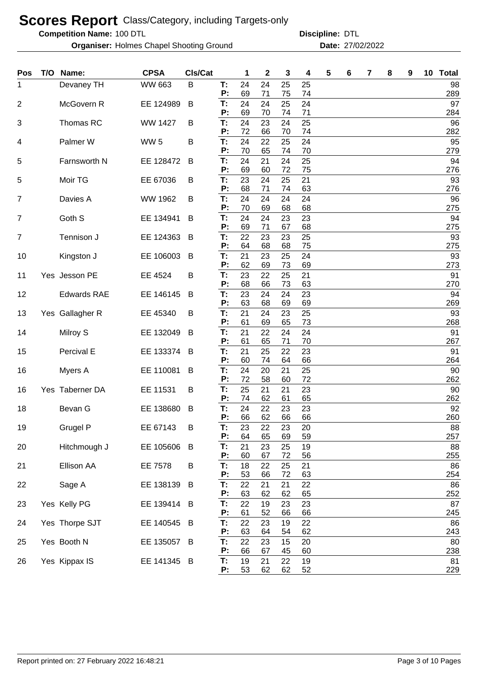**Competition Name:**

**Organiser:** Holmes Chapel Shooting Ground **27/02/2022 Date:** 27/02/2022

| Pos            | T/O Name:          | <b>CPSA</b>    | Cls/Cat |          | 1        | $\mathbf{2}$ | 3        | 4        | 5 | 6 | 7 | 8 | 9 | 10 Total  |
|----------------|--------------------|----------------|---------|----------|----------|--------------|----------|----------|---|---|---|---|---|-----------|
| 1              | Devaney TH         | <b>WW 663</b>  | B       | T:       | 24       | 24           | 25       | 25       |   |   |   |   |   | 98        |
| $\overline{2}$ | McGovern R         | EE 124989      | B       | P:<br>T: | 69<br>24 | 71<br>24     | 75<br>25 | 74<br>24 |   |   |   |   |   | 289<br>97 |
|                |                    |                |         | P:       | 69       | 70           | 74       | 71       |   |   |   |   |   | 284       |
| 3              | Thomas RC          | <b>WW 1427</b> | B       | T:       | 24       | 23           | 24       | 25       |   |   |   |   |   | 96        |
|                |                    |                |         | P:       | 72       | 66           | 70       | 74       |   |   |   |   |   | 282       |
| 4              | Palmer W           | <b>WW 5</b>    | B       | T:<br>P: | 24<br>70 | 22<br>65     | 25<br>74 | 24<br>70 |   |   |   |   |   | 95<br>279 |
| 5              | Farnsworth N       | EE 128472      | B       | T:       | 24       | 21           | 24       | 25       |   |   |   |   |   | 94        |
|                |                    |                |         | P:       | 69       | 60           | 72       | 75       |   |   |   |   |   | 276       |
| 5              | Moir TG            | EE 67036       | B       | T:       | 23       | 24           | 25       | 21       |   |   |   |   |   | 93        |
| $\overline{7}$ |                    | WW 1962        |         | P:<br>T: | 68<br>24 | 71<br>24     | 74<br>24 | 63<br>24 |   |   |   |   |   | 276<br>96 |
|                | Davies A           |                | B       | P:       | 70       | 69           | 68       | 68       |   |   |   |   |   | 275       |
| $\overline{7}$ | Goth S             | EE 134941      | B       | T:       | 24       | 24           | 23       | 23       |   |   |   |   |   | 94        |
|                |                    |                |         | P:       | 69       | 71           | 67       | 68       |   |   |   |   |   | 275       |
| $\overline{7}$ | Tennison J         | EE 124363      | B       | T:<br>P: | 22<br>64 | 23<br>68     | 23<br>68 | 25<br>75 |   |   |   |   |   | 93<br>275 |
| 10             | Kingston J         | EE 106003      | B       | T:       | 21       | 23           | 25       | 24       |   |   |   |   |   | 93        |
|                |                    |                |         | P:       | 62       | 69           | 73       | 69       |   |   |   |   |   | 273       |
| 11             | Yes Jesson PE      | EE 4524        | B       | T:       | 23       | 22           | 25       | 21       |   |   |   |   |   | 91        |
|                |                    |                |         | P:       | 68       | 66           | 73       | 63       |   |   |   |   |   | 270       |
| 12             | <b>Edwards RAE</b> | EE 146145      | B       | T:<br>P: | 23<br>63 | 24<br>68     | 24<br>69 | 23<br>69 |   |   |   |   |   | 94<br>269 |
| 13             | Yes Gallagher R    | EE 45340       | B       | T:       | 21       | 24           | 23       | 25       |   |   |   |   |   | 93        |
|                |                    |                |         | P:       | 61       | 69           | 65       | 73       |   |   |   |   |   | 268       |
| 14             | Milroy S           | EE 132049      | B       | T:       | 21       | 22           | 24       | 24       |   |   |   |   |   | 91        |
| 15             | Percival E         | EE 133374      | B       | P:<br>T: | 61<br>21 | 65<br>25     | 71<br>22 | 70<br>23 |   |   |   |   |   | 267<br>91 |
|                |                    |                |         | P:       | 60       | 74           | 64       | 66       |   |   |   |   |   | 264       |
| 16             | Myers A            | EE 110081      | B       | T:       | 24       | 20           | 21       | 25       |   |   |   |   |   | 90        |
|                |                    |                |         | P:       | 72       | 58           | 60       | 72       |   |   |   |   |   | 262       |
| 16             | Yes Taberner DA    | EE 11531       | B       | T:<br>P: | 25<br>74 | 21<br>62     | 21<br>61 | 23<br>65 |   |   |   |   |   | 90<br>262 |
| 18             | Bevan G            | EE 138680      | B       | T:       | 24       | 22           | 23       | 23       |   |   |   |   |   | 92        |
|                |                    |                |         | P:       | 66       | 62           | 66       | 66       |   |   |   |   |   | 260       |
| 19             | Grugel P           | EE 67143       | B       | Т:       | 23       | 22           | 23       | 20       |   |   |   |   |   | 88        |
|                |                    |                |         | P:<br>T: | 64<br>21 | 65           | 69       | 59       |   |   |   |   |   | 257<br>88 |
| 20             | Hitchmough J       | EE 105606      | B       | P:       | 60       | 23<br>67     | 25<br>72 | 19<br>56 |   |   |   |   |   | 255       |
| 21             | Ellison AA         | EE 7578        | B       | T:       | 18       | 22           | 25       | 21       |   |   |   |   |   | 86        |
|                |                    |                |         | P:       | 53       | 66           | 72       | 63       |   |   |   |   |   | 254       |
| 22             | Sage A             | EE 138139      | B       | T:<br>P: | 22<br>63 | 21<br>62     | 21<br>62 | 22       |   |   |   |   |   | 86<br>252 |
| 23             | Yes Kelly PG       | EE 139414 B    |         | T:       | 22       | 19           | 23       | 65<br>23 |   |   |   |   |   | 87        |
|                |                    |                |         | P:       | 61       | 52           | 66       | 66       |   |   |   |   |   | 245       |
| 24             | Yes Thorpe SJT     | EE 140545      | B       | T:       | 22       | 23           | 19       | 22       |   |   |   |   |   | 86        |
|                |                    |                |         | P:       | 63       | 64           | 54       | 62       |   |   |   |   |   | 243       |
| 25             | Yes Booth N        | EE 135057 B    |         | T:<br>P: | 22<br>66 | 23<br>67     | 15<br>45 | 20<br>60 |   |   |   |   |   | 80<br>238 |
| 26             | Yes Kippax IS      | EE 141345 B    |         | T:       | 19       | 21           | 22       | 19       |   |   |   |   |   | 81        |
|                |                    |                |         | P:       | 53       | 62           | 62       | 52       |   |   |   |   |   | 229       |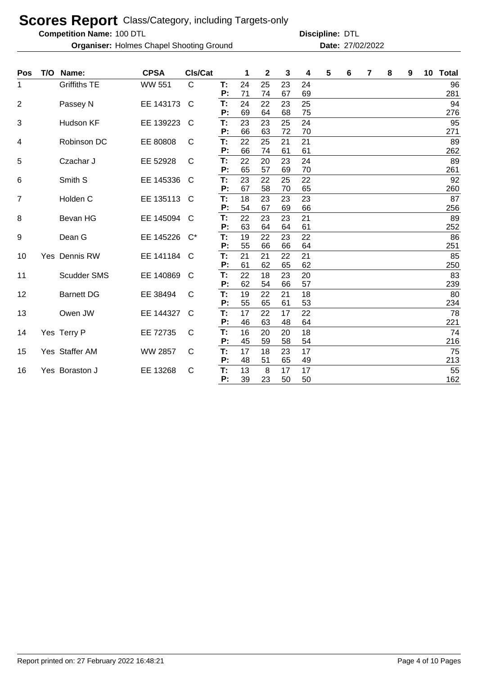**Competition Name:**

**Organiser:** Holmes Chapel Shooting Ground **27/02/2022 Date:** 27/02/2022

| <b>Pos</b>     | T/O Name:           | <b>CPSA</b>    | CIs/Cat      |          | 1        | $\mathbf 2$ | 3        | 4        | 5 | 6 | 7 | 8 | 9 | 10 | <b>Total</b> |
|----------------|---------------------|----------------|--------------|----------|----------|-------------|----------|----------|---|---|---|---|---|----|--------------|
| 1              | <b>Griffiths TE</b> | <b>WW 551</b>  | $\mathsf{C}$ | T:<br>P: | 24<br>71 | 25<br>74    | 23<br>67 | 24<br>69 |   |   |   |   |   |    | 96<br>281    |
| $\overline{2}$ | Passey N            | EE 143173      | C            | T:<br>P: | 24<br>69 | 22<br>64    | 23<br>68 | 25<br>75 |   |   |   |   |   |    | 94<br>276    |
| 3              | Hudson KF           | EE 139223      | C            | T:<br>P: | 23<br>66 | 23<br>63    | 25<br>72 | 24<br>70 |   |   |   |   |   |    | 95<br>271    |
| 4              | Robinson DC         | EE 80808       | C            | T:<br>P: | 22<br>66 | 25<br>74    | 21<br>61 | 21<br>61 |   |   |   |   |   |    | 89<br>262    |
| 5              | Czachar J           | EE 52928       | C            | T:<br>P: | 22<br>65 | 20<br>57    | 23<br>69 | 24<br>70 |   |   |   |   |   |    | 89<br>261    |
| 6              | Smith S             | EE 145336      | C            | Т:<br>P: | 23<br>67 | 22<br>58    | 25<br>70 | 22<br>65 |   |   |   |   |   |    | 92<br>260    |
| 7              | Holden C            | EE 135113      | C            | T:<br>P: | 18<br>54 | 23<br>67    | 23<br>69 | 23<br>66 |   |   |   |   |   |    | 87<br>256    |
| 8              | Bevan HG            | EE 145094      | C            | T:<br>P: | 22<br>63 | 23<br>64    | 23<br>64 | 21<br>61 |   |   |   |   |   |    | 89<br>252    |
| 9              | Dean G              | EE 145226      | $C^*$        | T:<br>P: | 19<br>55 | 22<br>66    | 23<br>66 | 22<br>64 |   |   |   |   |   |    | 86<br>251    |
| 10             | Yes Dennis RW       | EE 141184      | C            | T:<br>P: | 21<br>61 | 21<br>62    | 22<br>65 | 21<br>62 |   |   |   |   |   |    | 85<br>250    |
| 11             | <b>Scudder SMS</b>  | EE 140869      | C            | T:<br>P: | 22<br>62 | 18<br>54    | 23<br>66 | 20<br>57 |   |   |   |   |   |    | 83<br>239    |
| 12             | <b>Barnett DG</b>   | EE 38494       | C            | T:<br>P: | 19<br>55 | 22<br>65    | 21<br>61 | 18<br>53 |   |   |   |   |   |    | 80<br>234    |
| 13             | Owen JW             | EE 144327      | C            | T:<br>P: | 17<br>46 | 22<br>63    | 17<br>48 | 22<br>64 |   |   |   |   |   |    | 78<br>221    |
| 14             | Yes Terry P         | EE 72735       | C            | T:<br>P: | 16<br>45 | 20<br>59    | 20<br>58 | 18<br>54 |   |   |   |   |   |    | 74<br>216    |
| 15             | Yes Staffer AM      | <b>WW 2857</b> | C            | T:<br>P: | 17<br>48 | 18<br>51    | 23<br>65 | 17<br>49 |   |   |   |   |   |    | 75<br>213    |
| 16             | Yes Boraston J      | EE 13268       | C            | T:<br>P: | 13<br>39 | 8<br>23     | 17<br>50 | 17<br>50 |   |   |   |   |   |    | 55<br>162    |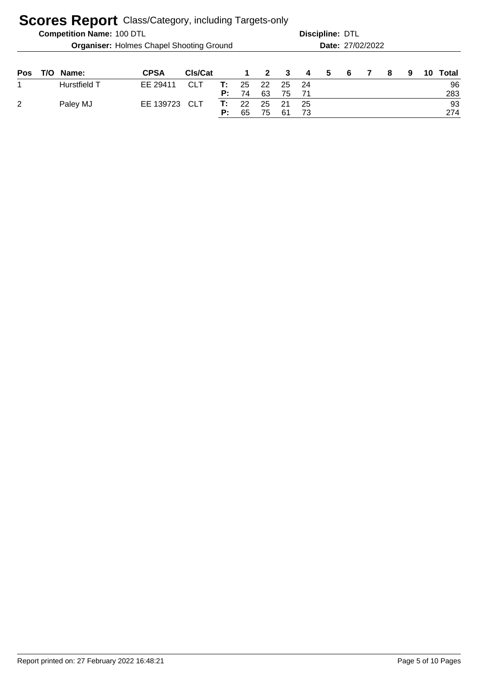| <b>Competition Name: 100 DTL</b>                | <b>Discipline: DTL</b> |
|-------------------------------------------------|------------------------|
| <b>Organiser:</b> Holmes Chapel Shooting Ground | Date: 27/02/2022       |
|                                                 |                        |

| <b>Pos</b> | T/O Name:    | <b>CPSA</b>   | <b>CIs/Cat</b> |    |    |             |                  | 1 2 3 4 5 6 |  | 8 | $\overline{9}$ | 10 Total |
|------------|--------------|---------------|----------------|----|----|-------------|------------------|-------------|--|---|----------------|----------|
|            | Hurstfield T | EE 29411      | CLT            |    |    |             | $T: 25$ 22 25 24 |             |  |   |                | 96       |
|            |              |               |                | P: | 74 | 63          | 75 71            |             |  |   |                | 283      |
| 2          | Paley MJ     | EE 139723 CLT |                |    |    | T: 22 25 21 |                  | - 25        |  |   |                | 93       |
|            |              |               |                | p. | 65 | 75          | -61              |             |  |   |                | 274      |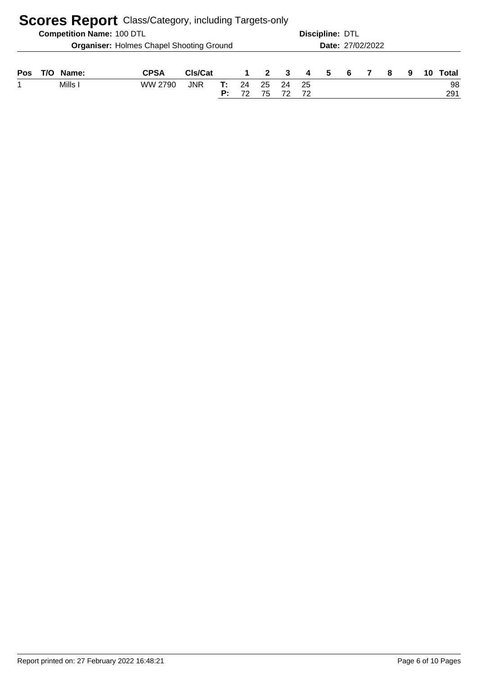|     |     |                                  | <b>Scores Report</b> Class/Category, including Targets-only |            |          |             |                |    |           |                 |                  |  |    |   |    |           |
|-----|-----|----------------------------------|-------------------------------------------------------------|------------|----------|-------------|----------------|----|-----------|-----------------|------------------|--|----|---|----|-----------|
|     |     | <b>Competition Name: 100 DTL</b> |                                                             |            |          |             |                |    |           | Discipline: DTL |                  |  |    |   |    |           |
|     |     |                                  | <b>Organiser: Holmes Chapel Shooting Ground</b>             |            |          |             |                |    |           |                 | Date: 27/02/2022 |  |    |   |    |           |
| Pos | T/O | Name:                            | <b>CPSA</b>                                                 | CIs/Cat    |          | $\mathbf 1$ | $\overline{2}$ | -3 | 4         | -5              | - 6              |  | -8 | 9 | 10 | Total     |
|     |     | Mills I                          | WW 2790                                                     | <b>JNR</b> | т:<br>P: | 24<br>72    | 25<br>75       | 24 | -25<br>72 |                 |                  |  |    |   |    | 98<br>291 |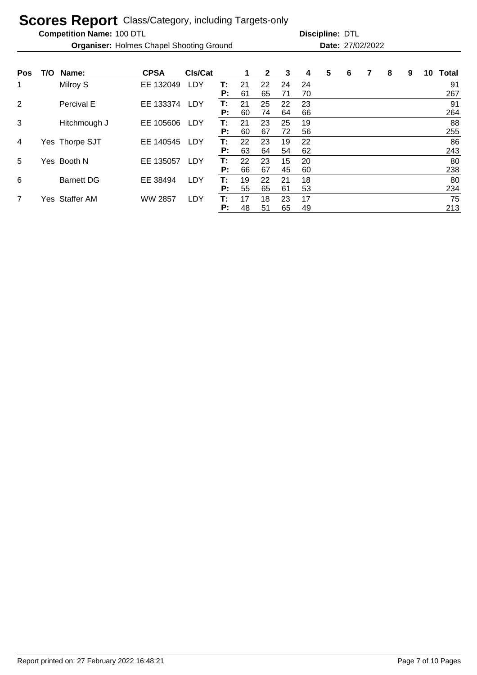**Competition Name:**

**Organiser:** Holmes Chapel Shooting Ground **27/02/2022 Date:** 27/02/2022

| <b>Pos</b>     | T/O | Name:             | <b>CPSA</b>    | CIs/Cat    |    | 1  | 2  | 3  | 4  | 5 | 6 | 7 | 8 | 9 | 10 | Total |
|----------------|-----|-------------------|----------------|------------|----|----|----|----|----|---|---|---|---|---|----|-------|
| 1              |     | Milroy S          | EE 132049      | LDY        | т: | 21 | 22 | 24 | 24 |   |   |   |   |   |    | 91    |
|                |     |                   |                |            | P: | 61 | 65 | 71 | 70 |   |   |   |   |   |    | 267   |
| 2              |     | Percival E        | EE 133374      | <b>LDY</b> | T: | 21 | 25 | 22 | 23 |   |   |   |   |   |    | 91    |
|                |     |                   |                |            | Р: | 60 | 74 | 64 | 66 |   |   |   |   |   |    | 264   |
| 3              |     | Hitchmough J      | EE 105606      | LDY        | Т: | 21 | 23 | 25 | 19 |   |   |   |   |   |    | 88    |
|                |     |                   |                |            | P: | 60 | 67 | 72 | 56 |   |   |   |   |   |    | 255   |
| 4              |     | Yes Thorpe SJT    | EE 140545      | <b>LDY</b> | Т: | 22 | 23 | 19 | 22 |   |   |   |   |   |    | 86    |
|                |     |                   |                |            | P: | 63 | 64 | 54 | 62 |   |   |   |   |   |    | 243   |
| 5              |     | Yes Booth N       | EE 135057      | LDY        | Т: | 22 | 23 | 15 | 20 |   |   |   |   |   |    | 80    |
|                |     |                   |                |            | P: | 66 | 67 | 45 | 60 |   |   |   |   |   |    | 238   |
| 6              |     | <b>Barnett DG</b> | EE 38494       | LDY        | T: | 19 | 22 | 21 | 18 |   |   |   |   |   |    | 80    |
|                |     |                   |                |            | P: | 55 | 65 | 61 | 53 |   |   |   |   |   |    | 234   |
| $\overline{7}$ |     | Yes Staffer AM    | <b>WW 2857</b> | LDY        | Т: | 17 | 18 | 23 | 17 |   |   |   |   |   |    | 75    |
|                |     |                   |                |            | P: | 48 | 51 | 65 | 49 |   |   |   |   |   |    | 213   |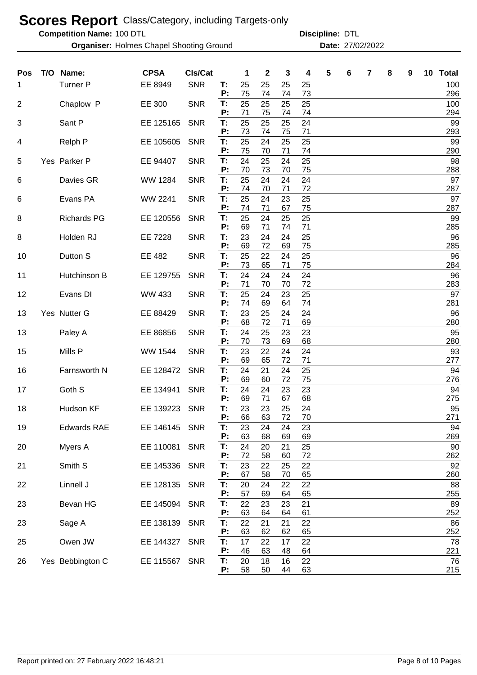**Competition Name:**

**Organiser:** Holmes Chapel Shooting Ground **27/02/2022 Date:** 27/02/2022

| Pos            | T/O Name:          | <b>CPSA</b>   | Cls/Cat    |          | 1        | 2        | 3        | 4        | 5 | 6 | 7 | 8 | 9 | 10 Total   |
|----------------|--------------------|---------------|------------|----------|----------|----------|----------|----------|---|---|---|---|---|------------|
| 1              | <b>Turner P</b>    | EE 8949       | <b>SNR</b> | T:<br>P: | 25       | 25       | 25       | 25       |   |   |   |   |   | 100        |
| $\overline{2}$ | Chaplow P          | EE 300        | <b>SNR</b> | T:       | 75<br>25 | 74<br>25 | 74<br>25 | 73<br>25 |   |   |   |   |   | 296<br>100 |
| 3              | Sant P             | EE 125165     | <b>SNR</b> | P:<br>Т: | 71<br>25 | 75<br>25 | 74<br>25 | 74<br>24 |   |   |   |   |   | 294<br>99  |
| 4              | Relph P            | EE 105605     | <b>SNR</b> | P:<br>T: | 73<br>25 | 74<br>24 | 75<br>25 | 71<br>25 |   |   |   |   |   | 293<br>99  |
|                |                    |               |            | P:       | 75       | 70       | 71       | 74       |   |   |   |   |   | 290        |
| 5              | Yes Parker P       | EE 94407      | <b>SNR</b> | Т:<br>P: | 24<br>70 | 25<br>73 | 24<br>70 | 25<br>75 |   |   |   |   |   | 98<br>288  |
| 6              | Davies GR          | WW 1284       | <b>SNR</b> | T:<br>P: | 25<br>74 | 24<br>70 | 24<br>71 | 24<br>72 |   |   |   |   |   | 97<br>287  |
| 6              | Evans PA           | WW 2241       | <b>SNR</b> | T:<br>P: | 25<br>74 | 24<br>71 | 23<br>67 | 25<br>75 |   |   |   |   |   | 97<br>287  |
| 8              | <b>Richards PG</b> | EE 120556     | <b>SNR</b> | T:       | 25       | 24       | 25       | 25       |   |   |   |   |   | 99         |
|                |                    |               |            | P:       | 69       | 71       | 74       | 71       |   |   |   |   |   | 285        |
| 8              | Holden RJ          | EE 7228       | <b>SNR</b> | T:<br>P: | 23<br>69 | 24<br>72 | 24<br>69 | 25<br>75 |   |   |   |   |   | 96<br>285  |
| 10             | Dutton S           | EE 482        | <b>SNR</b> | T:       | 25       | 22       | 24       | 25       |   |   |   |   |   | 96         |
| 11             | Hutchinson B       | EE 129755     | <b>SNR</b> | P:<br>T: | 73<br>24 | 65<br>24 | 71<br>24 | 75<br>24 |   |   |   |   |   | 284<br>96  |
|                |                    |               |            | P:       | 71       | 70       | 70       | 72       |   |   |   |   |   | 283        |
| 12             | Evans DI           | <b>WW 433</b> | <b>SNR</b> | T:       | 25       | 24       | 23       | 25       |   |   |   |   |   | 97         |
| 13             | Yes Nutter G       | EE 88429      | <b>SNR</b> | P:<br>T: | 74<br>23 | 69<br>25 | 64<br>24 | 74<br>24 |   |   |   |   |   | 281<br>96  |
|                |                    |               |            | P:       | 68       | 72       | 71       | 69       |   |   |   |   |   | 280        |
| 13             | Paley A            | EE 86856      | <b>SNR</b> | T:<br>P: | 24<br>70 | 25<br>73 | 23<br>69 | 23<br>68 |   |   |   |   |   | 95<br>280  |
| 15             | Mills P            | WW 1544       | <b>SNR</b> | T:       | 23       | 22       | 24       | 24       |   |   |   |   |   | 93         |
|                |                    |               |            | P:       | 69       | 65       | 72       | 71       |   |   |   |   |   | 277        |
| 16             | Farnsworth N       | EE 128472     | <b>SNR</b> | T:<br>P: | 24<br>69 | 21<br>60 | 24<br>72 | 25<br>75 |   |   |   |   |   | 94<br>276  |
| 17             | Goth S             | EE 134941     | <b>SNR</b> | T:       | 24       | 24       | 23       | 23       |   |   |   |   |   | 94         |
|                |                    |               |            | P:       | 69       | 71       | 67       | 68       |   |   |   |   |   | 275        |
| 18             | Hudson KF          | EE 139223     | <b>SNR</b> | T:<br>P: | 23<br>66 | 23<br>63 | 25<br>72 | 24<br>70 |   |   |   |   |   | 95<br>271  |
| 19             | <b>Edwards RAE</b> | EE 146145     | <b>SNR</b> | T:       | 23       | 24       | 24       | 23       |   |   |   |   |   | 94         |
|                |                    |               |            | P:       | 63       | 68       | 69       | 69       |   |   |   |   |   | 269        |
| 20             | Myers A            | EE 110081     | <b>SNR</b> | T:<br>P: | 24<br>72 | 20<br>58 | 21<br>60 | 25<br>72 |   |   |   |   |   | 90<br>262  |
| 21             | Smith S            | EE 145336     | <b>SNR</b> | T:       | 23       | 22       | 25       | 22       |   |   |   |   |   | 92         |
|                |                    |               |            | P:       | 67       | 58       | 70       | 65       |   |   |   |   |   | 260        |
| 22             | Linnell J          | EE 128135     | <b>SNR</b> | T:<br>P: | 20<br>57 | 24<br>69 | 22<br>64 | 22<br>65 |   |   |   |   |   | 88<br>255  |
| 23             | Bevan HG           | EE 145094     | <b>SNR</b> | T:<br>P: | 22<br>63 | 23<br>64 | 23<br>64 | 21<br>61 |   |   |   |   |   | 89<br>252  |
| 23             | Sage A             | EE 138139     | <b>SNR</b> | T:       | 22       | 21       | 21       | 22       |   |   |   |   |   | 86         |
| 25             | Owen JW            | EE 144327     | <b>SNR</b> | P:<br>T: | 63<br>17 | 62<br>22 | 62<br>17 | 65<br>22 |   |   |   |   |   | 252<br>78  |
|                |                    |               |            | P:       | 46       | 63       | 48       | 64       |   |   |   |   |   | 221        |
| 26             | Yes Bebbington C   | EE 115567     | <b>SNR</b> | T:<br>Р. | 20<br>58 | 18<br>50 | 16<br>44 | 22<br>63 |   |   |   |   |   | 76<br>215  |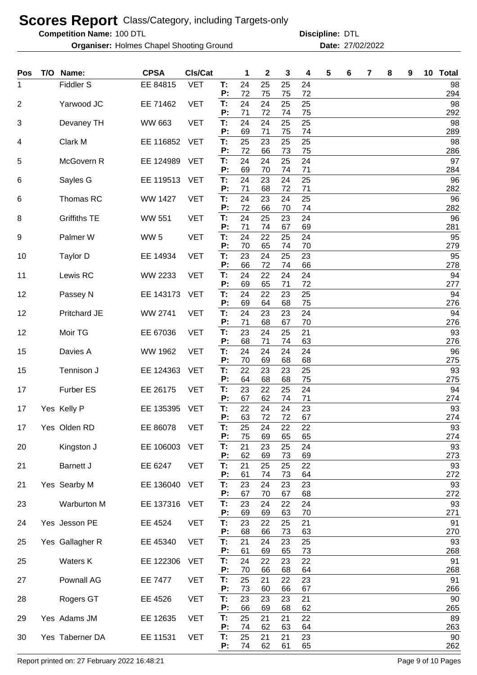**Competition Name:**

**Organiser:** Holmes Chapel Shooting Ground **27/02/2022 Date:** 27/02/2022

100 DTL **Discipline:** DTL

| Pos            | T/O Name:           | <b>CPSA</b>     | CIs/Cat    |          | 1        | $\boldsymbol{2}$ | 3        | 4        | 5 | 6 | 7 | 8 | 9 | 10 Total  |
|----------------|---------------------|-----------------|------------|----------|----------|------------------|----------|----------|---|---|---|---|---|-----------|
| 1              | Fiddler S           | EE 84815        | <b>VET</b> | T:<br>P: | 24<br>72 | 25<br>75         | 25<br>75 | 24<br>72 |   |   |   |   |   | 98<br>294 |
| $\overline{2}$ | Yarwood JC          | EE 71462        | <b>VET</b> | T:       | 24       | 24               | 25       | 25       |   |   |   |   |   | 98        |
| 3              | Devaney TH          | <b>WW 663</b>   | <b>VET</b> | P:<br>T: | 71<br>24 | 72<br>24         | 74<br>25 | 75<br>25 |   |   |   |   |   | 292<br>98 |
| 4              | Clark M             | EE 116852       | <b>VET</b> | P:<br>T: | 69<br>25 | 71<br>23         | 75<br>25 | 74<br>25 |   |   |   |   |   | 289<br>98 |
|                |                     |                 |            | P:       | 72       | 66               | 73       | 75       |   |   |   |   |   | 286       |
| 5              | McGovern R          | EE 124989       | <b>VET</b> | T:<br>P: | 24<br>69 | 24<br>70         | 25<br>74 | 24<br>71 |   |   |   |   |   | 97<br>284 |
| 6              | Sayles G            | EE 119513       | <b>VET</b> | Т:<br>Р: | 24<br>71 | 23<br>68         | 24<br>72 | 25<br>71 |   |   |   |   |   | 96<br>282 |
| 6              | Thomas RC           | <b>WW 1427</b>  | <b>VET</b> | T:       | 24       | 23               | 24       | 25       |   |   |   |   |   | 96        |
| 8              | <b>Griffiths TE</b> | <b>WW 551</b>   | <b>VET</b> | P:<br>T: | 72<br>24 | 66<br>25         | 70<br>23 | 74<br>24 |   |   |   |   |   | 282<br>96 |
|                |                     |                 |            | P:       | 71       | 74               | 67       | 69       |   |   |   |   |   | 281       |
| 9              | Palmer W            | WW <sub>5</sub> | <b>VET</b> | T:<br>P: | 24<br>70 | 22<br>65         | 25<br>74 | 24<br>70 |   |   |   |   |   | 95<br>279 |
| 10             | <b>Taylor D</b>     | EE 14934        | <b>VET</b> | T:<br>P: | 23<br>66 | 24               | 25       | 23       |   |   |   |   |   | 95        |
| 11             | Lewis RC            | WW 2233         | <b>VET</b> | T:       | 24       | 72<br>22         | 74<br>24 | 66<br>24 |   |   |   |   |   | 278<br>94 |
|                |                     |                 |            | P:       | 69       | 65               | 71       | 72       |   |   |   |   |   | 277       |
| 12             | Passey N            | EE 143173       | <b>VET</b> | T:<br>P: | 24<br>69 | 22<br>64         | 23<br>68 | 25<br>75 |   |   |   |   |   | 94<br>276 |
| 12             | Pritchard JE        | <b>WW 2741</b>  | <b>VET</b> | T:       | 24       | 23               | 23       | 24       |   |   |   |   |   | 94        |
| 12             | Moir TG             | EE 67036        | <b>VET</b> | P:<br>T: | 71<br>23 | 68<br>24         | 67<br>25 | 70<br>21 |   |   |   |   |   | 276<br>93 |
|                |                     |                 |            | P:       | 68       | 71               | 74       | 63       |   |   |   |   |   | 276       |
| 15             | Davies A            | WW 1962         | <b>VET</b> | T:<br>P: | 24<br>70 | 24<br>69         | 24<br>68 | 24<br>68 |   |   |   |   |   | 96<br>275 |
| 15             | Tennison J          | EE 124363       | <b>VET</b> | T:       | 22       | 23               | 23       | 25       |   |   |   |   |   | 93        |
| 17             | <b>Furber ES</b>    | EE 26175        | <b>VET</b> | P:<br>Т. | 64<br>23 | 68<br>22         | 68<br>25 | 75<br>24 |   |   |   |   |   | 275<br>94 |
|                |                     |                 |            | P:       | 67       | 62               | 74       | 71       |   |   |   |   |   | 274       |
| 17             | Yes Kelly P         | EE 135395       | <b>VET</b> | T:<br>P: | 22<br>63 | 24<br>72         | 24<br>72 | 23<br>67 |   |   |   |   |   | 93<br>274 |
| 17             | Yes Olden RD        | EE 86078        | <b>VET</b> | T:       | 25       | 24               | 22       | 22       |   |   |   |   |   | 93        |
| 20             | Kingston J          | EE 106003       | <b>VET</b> | P:<br>T: | 75<br>21 | 69<br>23         | 65<br>25 | 65<br>24 |   |   |   |   |   | 274<br>93 |
|                |                     |                 |            | P:       | 62       | 69               | 73       | 69       |   |   |   |   |   | 273       |
| 21             | <b>Barnett J</b>    | EE 6247         | <b>VET</b> | T:<br>P: | 21<br>61 | 25<br>74         | 25<br>73 | 22<br>64 |   |   |   |   |   | 93<br>272 |
| 21             | Yes Searby M        | EE 136040       | <b>VET</b> | Т.       | 23       | 24               | 23       | 23       |   |   |   |   |   | 93        |
| 23             | Warburton M         | EE 137316       | <b>VET</b> | P:<br>T: | 67<br>23 | 70<br>24         | 67<br>22 | 68<br>24 |   |   |   |   |   | 272<br>93 |
|                |                     |                 |            | P:       | 69       | 69               | 63       | 70       |   |   |   |   |   | 271       |
| 24             | Yes Jesson PE       | EE 4524         | <b>VET</b> | T:<br>P: | 23<br>68 | 22<br>66         | 25<br>73 | 21<br>63 |   |   |   |   |   | 91<br>270 |
| 25             | Yes Gallagher R     | EE 45340        | <b>VET</b> | T:       | 21       | 24               | 23       | 25       |   |   |   |   |   | 93        |
| 25             | Waters K            | EE 122306       | <b>VET</b> | P:<br>T: | 61<br>24 | 69<br>22         | 65<br>23 | 73<br>22 |   |   |   |   |   | 268<br>91 |
|                |                     |                 |            | P:       | 70       | 66               | 68       | 64       |   |   |   |   |   | 268       |
| 27             | Pownall AG          | <b>EE 7477</b>  | <b>VET</b> | T:<br>Ρ: | 25<br>73 | 21<br>60         | 22<br>66 | 23<br>67 |   |   |   |   |   | 91<br>266 |
| 28             | Rogers GT           | EE 4526         | <b>VET</b> | T:       | 23       | 23               | 23       | 21       |   |   |   |   |   | 90        |
| 29             | Yes Adams JM        | EE 12635        | <b>VET</b> | P:<br>T: | 66<br>25 | 69<br>21         | 68<br>21 | 62<br>22 |   |   |   |   |   | 265<br>89 |
|                |                     |                 |            | P:       | 74       | 62               | 63       | 64       |   |   |   |   |   | 263       |
| 30             | Yes Taberner DA     | EE 11531        | <b>VET</b> | T:<br>P: | 25<br>74 | 21<br>62         | 21<br>61 | 23<br>65 |   |   |   |   |   | 90<br>262 |

Report printed on: 27 February 2022 16:48:21 Page 9 of 10 Pages